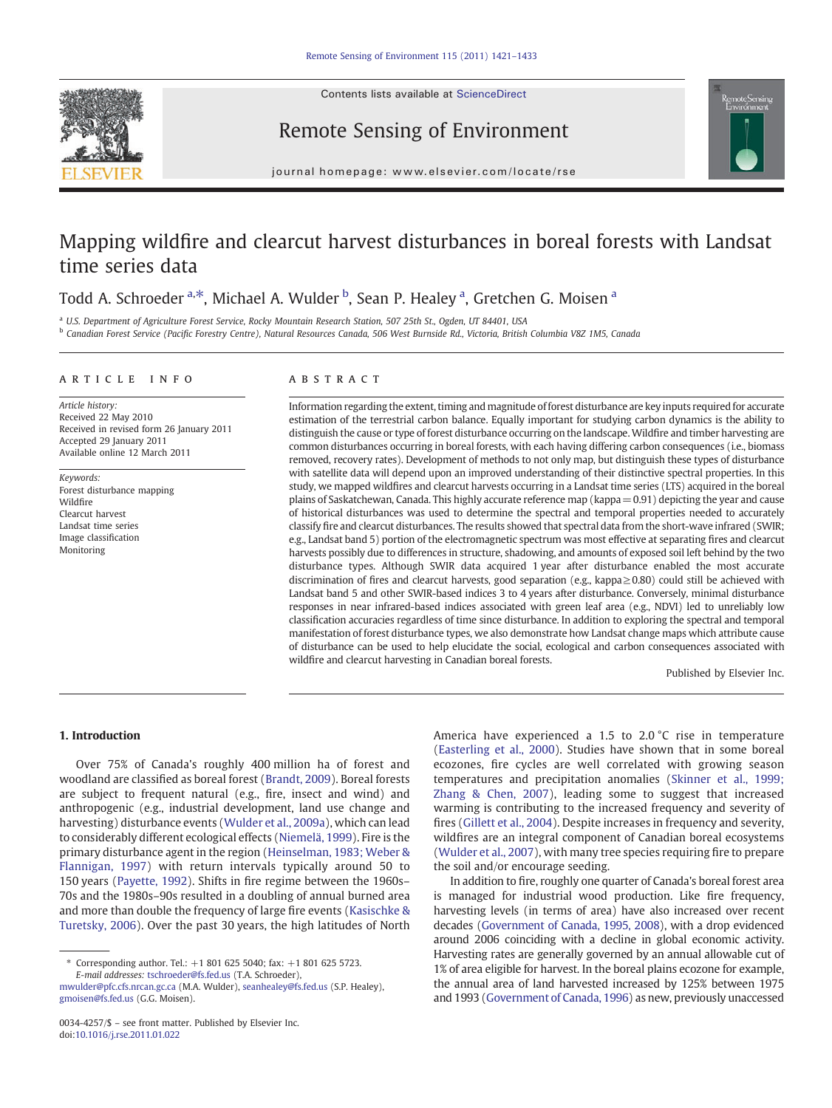<span id="page-0-0"></span>

Contents lists available at ScienceDirect

# Remote Sensing of Environment



journal homepage: www.elsevier.com/locate/rse

# Mapping wildfire and clearcut harvest disturbances in boreal forests with Landsat time series data

Todd A. Schroeder <sup>a,\*</sup>, Michael A. Wulder <sup>b</sup>, Sean P. Healey <sup>a</sup>, Gretchen G. Moisen <sup>a</sup>

<sup>a</sup> U.S. Department of Agriculture Forest Service, Rocky Mountain Research Station, 507 25th St., Ogden, UT 84401, USA

<sup>b</sup> Canadian Forest Service (Pacific Forestry Centre), Natural Resources Canada, 506 West Burnside Rd., Victoria, British Columbia V8Z 1M5, Canada

#### article info abstract

Article history: Received 22 May 2010 Received in revised form 26 January 2011 Accepted 29 January 2011 Available online 12 March 2011

Keywords: Forest disturbance mapping Wildfire Clearcut harvest Landsat time series Image classification Monitoring

Information regarding the extent, timing and magnitude of forest disturbance are key inputs required for accurate estimation of the terrestrial carbon balance. Equally important for studying carbon dynamics is the ability to distinguish the cause or type of forest disturbance occurring on the landscape. Wildfire and timber harvesting are common disturbances occurring in boreal forests, with each having differing carbon consequences (i.e., biomass removed, recovery rates). Development of methods to not only map, but distinguish these types of disturbance with satellite data will depend upon an improved understanding of their distinctive spectral properties. In this study, we mapped wildfires and clearcut harvests occurring in a Landsat time series (LTS) acquired in the boreal plains of Saskatchewan, Canada. This highly accurate reference map (kappa=0.91) depicting the year and cause of historical disturbances was used to determine the spectral and temporal properties needed to accurately classify fire and clearcut disturbances. The results showed that spectral data from the short-wave infrared (SWIR; e.g., Landsat band 5) portion of the electromagnetic spectrum was most effective at separating fires and clearcut harvests possibly due to differences in structure, shadowing, and amounts of exposed soil left behind by the two disturbance types. Although SWIR data acquired 1 year after disturbance enabled the most accurate discrimination of fires and clearcut harvests, good separation (e.g., kappa≥0.80) could still be achieved with Landsat band 5 and other SWIR-based indices 3 to 4 years after disturbance. Conversely, minimal disturbance responses in near infrared-based indices associated with green leaf area (e.g., NDVI) led to unreliably low classification accuracies regardless of time since disturbance. In addition to exploring the spectral and temporal manifestation of forest disturbance types, we also demonstrate how Landsat change maps which attribute cause of disturbance can be used to help elucidate the social, ecological and carbon consequences associated with wildfire and clearcut harvesting in Canadian boreal forests.

Published by Elsevier Inc.

# 1. Introduction

Over 75% of Canada's roughly 400 million ha of forest and woodland are classified as boreal forest [\(Brandt, 2009\)](#page-11-0). Boreal forests are subject to frequent natural (e.g., fire, insect and wind) and anthropogenic (e.g., industrial development, land use change and harvesting) disturbance events [\(Wulder et al., 2009a\)](#page-12-0), which can lead to considerably different ecological effects ([Niemelä, 1999](#page-12-0)). Fire is the primary disturbance agent in the region ([Heinselman, 1983; Weber &](#page-11-0) [Flannigan, 1997](#page-11-0)) with return intervals typically around 50 to 150 years ([Payette, 1992](#page-12-0)). Shifts in fire regime between the 1960s– 70s and the 1980s–90s resulted in a doubling of annual burned area and more than double the frequency of large fire events [\(Kasischke &](#page-11-0) [Turetsky, 2006\)](#page-11-0). Over the past 30 years, the high latitudes of North

America have experienced a 1.5 to 2.0 °C rise in temperature [\(Easterling et al., 2000](#page-11-0)). Studies have shown that in some boreal ecozones, fire cycles are well correlated with growing season temperatures and precipitation anomalies ([Skinner et al., 1999;](#page-12-0) [Zhang & Chen, 2007](#page-12-0)), leading some to suggest that increased warming is contributing to the increased frequency and severity of fires ([Gillett et al., 2004\)](#page-11-0). Despite increases in frequency and severity, wildfires are an integral component of Canadian boreal ecosystems [\(Wulder et al., 2007](#page-12-0)), with many tree species requiring fire to prepare the soil and/or encourage seeding.

In addition to fire, roughly one quarter of Canada's boreal forest area is managed for industrial wood production. Like fire frequency, harvesting levels (in terms of area) have also increased over recent decades [\(Government of Canada, 1995, 2008](#page-11-0)), with a drop evidenced around 2006 coinciding with a decline in global economic activity. Harvesting rates are generally governed by an annual allowable cut of 1% of area eligible for harvest. In the boreal plains ecozone for example, the annual area of land harvested increased by 125% between 1975 and 1993 [\(Government of Canada, 1996](#page-11-0)) as new, previously unaccessed

<sup>⁎</sup> Corresponding author. Tel.: +1 801 625 5040; fax: +1 801 625 5723. E-mail addresses: [tschroeder@fs.fed.us](mailto:tschroeder@fs.fed.us) (T.A. Schroeder),

[mwulder@pfc.cfs.nrcan.gc.ca](mailto:mwulder@pfc.cfs.nrcan.gc.ca) (M.A. Wulder), [seanhealey@fs.fed.us](mailto:seanhealey@fs.fed.us) (S.P. Healey), [gmoisen@fs.fed.us](mailto:gmoisen@fs.fed.us) (G.G. Moisen).

<sup>0034-4257/\$</sup> – see front matter. Published by Elsevier Inc. doi:[10.1016/j.rse.2011.01.022](http://dx.doi.org/10.1016/j.rse.2011.01.022)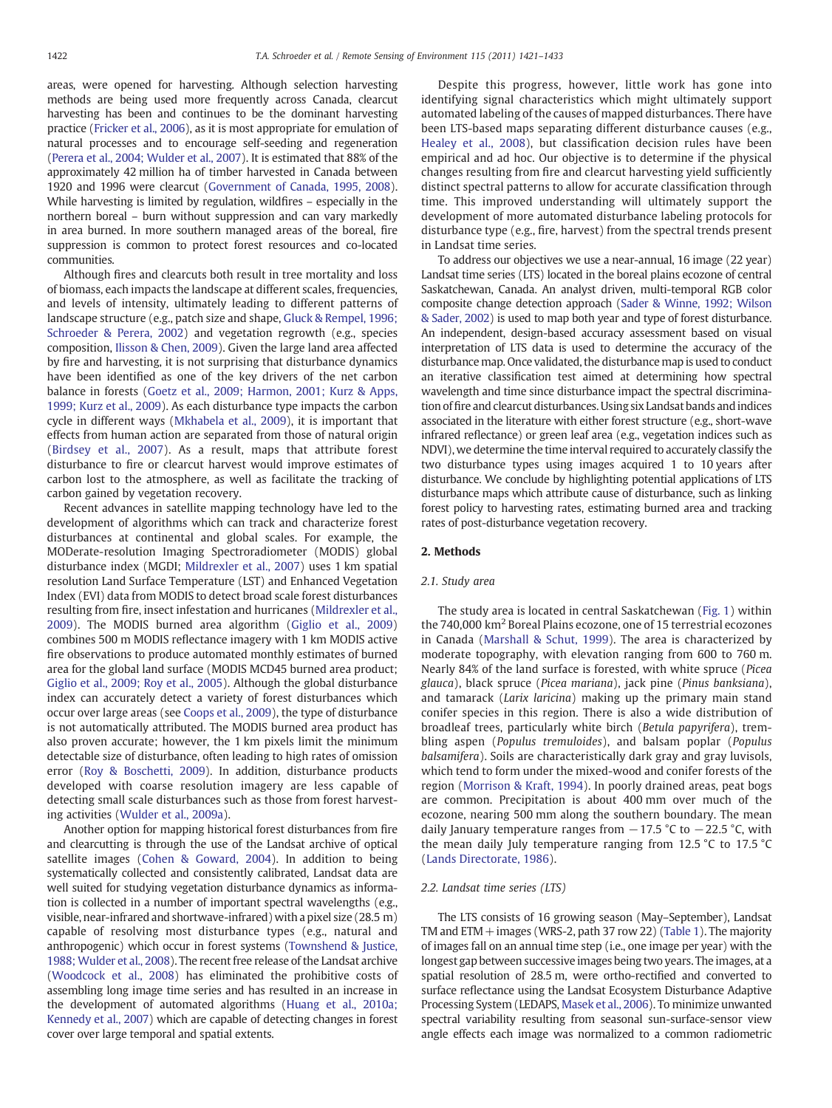areas, were opened for harvesting. Although selection harvesting methods are being used more frequently across Canada, clearcut harvesting has been and continues to be the dominant harvesting practice [\(Fricker et al., 2006](#page-11-0)), as it is most appropriate for emulation of natural processes and to encourage self-seeding and regeneration [\(Perera et al., 2004; Wulder et al., 2007\)](#page-12-0). It is estimated that 88% of the approximately 42 million ha of timber harvested in Canada between 1920 and 1996 were clearcut [\(Government of Canada, 1995, 2008\)](#page-11-0). While harvesting is limited by regulation, wildfires – especially in the northern boreal – burn without suppression and can vary markedly in area burned. In more southern managed areas of the boreal, fire suppression is common to protect forest resources and co-located communities.

Although fires and clearcuts both result in tree mortality and loss of biomass, each impacts the landscape at different scales, frequencies, and levels of intensity, ultimately leading to different patterns of landscape structure (e.g., patch size and shape, [Gluck & Rempel, 1996;](#page-11-0) [Schroeder & Perera, 2002](#page-11-0)) and vegetation regrowth (e.g., species composition, [Ilisson & Chen, 2009\)](#page-11-0). Given the large land area affected by fire and harvesting, it is not surprising that disturbance dynamics have been identified as one of the key drivers of the net carbon balance in forests ([Goetz et al., 2009; Harmon, 2001; Kurz & Apps,](#page-11-0) [1999; Kurz et al., 2009](#page-11-0)). As each disturbance type impacts the carbon cycle in different ways ([Mkhabela et al., 2009\)](#page-12-0), it is important that effects from human action are separated from those of natural origin [\(Birdsey et al., 2007](#page-11-0)). As a result, maps that attribute forest disturbance to fire or clearcut harvest would improve estimates of carbon lost to the atmosphere, as well as facilitate the tracking of carbon gained by vegetation recovery.

Recent advances in satellite mapping technology have led to the development of algorithms which can track and characterize forest disturbances at continental and global scales. For example, the MODerate-resolution Imaging Spectroradiometer (MODIS) global disturbance index (MGDI; [Mildrexler et al., 2007\)](#page-12-0) uses 1 km spatial resolution Land Surface Temperature (LST) and Enhanced Vegetation Index (EVI) data from MODIS to detect broad scale forest disturbances resulting from fire, insect infestation and hurricanes ([Mildrexler et al.,](#page-12-0) [2009](#page-12-0)). The MODIS burned area algorithm ([Giglio et al., 2009](#page-11-0)) combines 500 m MODIS reflectance imagery with 1 km MODIS active fire observations to produce automated monthly estimates of burned area for the global land surface (MODIS MCD45 burned area product; [Giglio et al., 2009; Roy et al., 2005](#page-11-0)). Although the global disturbance index can accurately detect a variety of forest disturbances which occur over large areas (see [Coops et al., 2009](#page-11-0)), the type of disturbance is not automatically attributed. The MODIS burned area product has also proven accurate; however, the 1 km pixels limit the minimum detectable size of disturbance, often leading to high rates of omission error [\(Roy & Boschetti, 2009\)](#page-12-0). In addition, disturbance products developed with coarse resolution imagery are less capable of detecting small scale disturbances such as those from forest harvesting activities ([Wulder et al., 2009a\)](#page-12-0).

Another option for mapping historical forest disturbances from fire and clearcutting is through the use of the Landsat archive of optical satellite images ([Cohen & Goward, 2004](#page-11-0)). In addition to being systematically collected and consistently calibrated, Landsat data are well suited for studying vegetation disturbance dynamics as information is collected in a number of important spectral wavelengths (e.g., visible, near-infrared and shortwave-infrared) with a pixel size (28.5 m) capable of resolving most disturbance types (e.g., natural and anthropogenic) which occur in forest systems [\(Townshend & Justice,](#page-12-0) [1988; Wulder et al., 2008\)](#page-12-0). The recent free release of the Landsat archive [\(Woodcock et al., 2008\)](#page-12-0) has eliminated the prohibitive costs of assembling long image time series and has resulted in an increase in the development of automated algorithms [\(Huang et al., 2010a;](#page-11-0) [Kennedy et al., 2007\)](#page-11-0) which are capable of detecting changes in forest cover over large temporal and spatial extents.

Despite this progress, however, little work has gone into identifying signal characteristics which might ultimately support automated labeling of the causes of mapped disturbances. There have been LTS-based maps separating different disturbance causes (e.g., [Healey et al., 2008](#page-11-0)), but classification decision rules have been empirical and ad hoc. Our objective is to determine if the physical changes resulting from fire and clearcut harvesting yield sufficiently distinct spectral patterns to allow for accurate classification through time. This improved understanding will ultimately support the development of more automated disturbance labeling protocols for disturbance type (e.g., fire, harvest) from the spectral trends present in Landsat time series.

To address our objectives we use a near-annual, 16 image (22 year) Landsat time series (LTS) located in the boreal plains ecozone of central Saskatchewan, Canada. An analyst driven, multi-temporal RGB color composite change detection approach ([Sader & Winne, 1992; Wilson](#page-12-0) [& Sader, 2002](#page-12-0)) is used to map both year and type of forest disturbance. An independent, design-based accuracy assessment based on visual interpretation of LTS data is used to determine the accuracy of the disturbance map. Once validated, the disturbance map is used to conduct an iterative classification test aimed at determining how spectral wavelength and time since disturbance impact the spectral discrimination of fire and clearcut disturbances. Using six Landsat bands andindices associated in the literature with either forest structure (e.g., short-wave infrared reflectance) or green leaf area (e.g., vegetation indices such as NDVI), we determine the time interval required to accurately classify the two disturbance types using images acquired 1 to 10 years after disturbance. We conclude by highlighting potential applications of LTS disturbance maps which attribute cause of disturbance, such as linking forest policy to harvesting rates, estimating burned area and tracking rates of post-disturbance vegetation recovery.

#### 2. Methods

#### 2.1. Study area

The study area is located in central Saskatchewan ([Fig. 1\)](#page-2-0) within the  $740,000 \mathrm{km^2}$  Boreal Plains ecozone, one of 15 terrestrial ecozones in Canada [\(Marshall & Schut, 1999\)](#page-12-0). The area is characterized by moderate topography, with elevation ranging from 600 to 760 m. Nearly 84% of the land surface is forested, with white spruce (Picea glauca), black spruce (Picea mariana), jack pine (Pinus banksiana), and tamarack (Larix laricina) making up the primary main stand conifer species in this region. There is also a wide distribution of broadleaf trees, particularly white birch (Betula papyrifera), trembling aspen (Populus tremuloides), and balsam poplar (Populus balsamifera). Soils are characteristically dark gray and gray luvisols, which tend to form under the mixed-wood and conifer forests of the region ([Morrison & Kraft, 1994\)](#page-12-0). In poorly drained areas, peat bogs are common. Precipitation is about 400 mm over much of the ecozone, nearing 500 mm along the southern boundary. The mean daily January temperature ranges from  $-17.5$  °C to  $-22.5$  °C, with the mean daily July temperature ranging from 12.5 °C to 17.5 °C [\(Lands Directorate, 1986](#page-12-0)).

#### 2.2. Landsat time series (LTS)

The LTS consists of 16 growing season (May–September), Landsat TM and  $ETM + images$  (WRS-2, path 37 row 22) ([Table 1\)](#page-2-0). The majority of images fall on an annual time step (i.e., one image per year) with the longest gap between successive images being two years. The images, at a spatial resolution of 28.5 m, were ortho-rectified and converted to surface reflectance using the Landsat Ecosystem Disturbance Adaptive Processing System (LEDAPS, [Masek et al., 2006](#page-12-0)). To minimize unwanted spectral variability resulting from seasonal sun-surface-sensor view angle effects each image was normalized to a common radiometric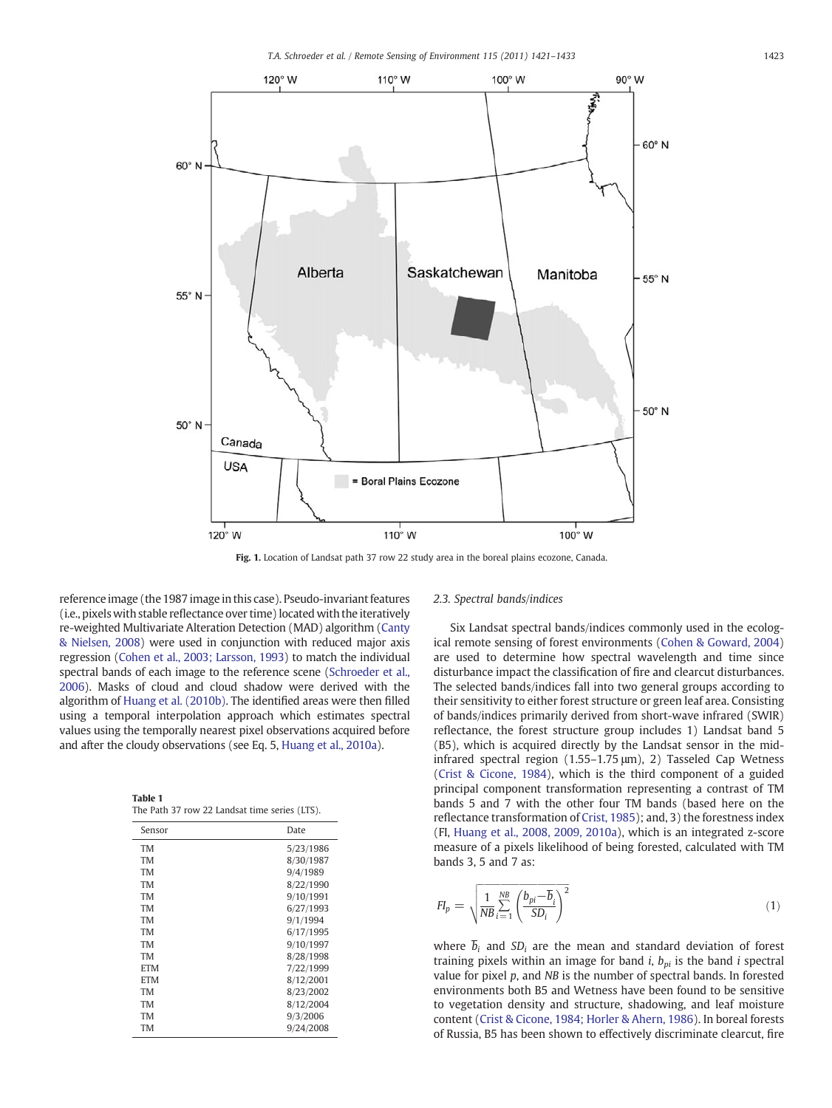<span id="page-2-0"></span>

Fig. 1. Location of Landsat path 37 row 22 study area in the boreal plains ecozone, Canada.

referenceimage (the 1987 image in this case). Pseudo-invariant features (i.e., pixels with stable reflectance over time) located with the iteratively re-weighted Multivariate Alteration Detection (MAD) algorithm [\(Canty](#page-11-0) [& Nielsen, 2008](#page-11-0)) were used in conjunction with reduced major axis regression [\(Cohen et al., 2003; Larsson, 1993](#page-11-0)) to match the individual spectral bands of each image to the reference scene ([Schroeder et al.,](#page-12-0) [2006](#page-12-0)). Masks of cloud and cloud shadow were derived with the algorithm of [Huang et al. \(2010b\).](#page-11-0) The identified areas were then filled using a temporal interpolation approach which estimates spectral values using the temporally nearest pixel observations acquired before and after the cloudy observations (see Eq. 5, [Huang et al., 2010a\)](#page-11-0).

Table 1 The Path 37 row 22 Landsat time series (LTS).

| Sensor     | Date      |
|------------|-----------|
| TM         | 5/23/1986 |
| <b>TM</b>  | 8/30/1987 |
| TM         | 9/4/1989  |
| TM         | 8/22/1990 |
| TM         | 9/10/1991 |
| TM         | 6/27/1993 |
| <b>TM</b>  | 9/1/1994  |
| TM         | 6/17/1995 |
| TM         | 9/10/1997 |
| TM         | 8/28/1998 |
| <b>ETM</b> | 7/22/1999 |
| <b>ETM</b> | 8/12/2001 |
| TM         | 8/23/2002 |
| TM         | 8/12/2004 |
| TM         | 9/3/2006  |
| TM         | 9/24/2008 |

# 2.3. Spectral bands/indices

Six Landsat spectral bands/indices commonly used in the ecological remote sensing of forest environments [\(Cohen & Goward, 2004](#page-11-0)) are used to determine how spectral wavelength and time since disturbance impact the classification of fire and clearcut disturbances. The selected bands/indices fall into two general groups according to their sensitivity to either forest structure or green leaf area. Consisting of bands/indices primarily derived from short-wave infrared (SWIR) reflectance, the forest structure group includes 1) Landsat band 5 (B5), which is acquired directly by the Landsat sensor in the midinfrared spectral region (1.55–1.75 μm), 2) Tasseled Cap Wetness [\(Crist & Cicone, 1984](#page-11-0)), which is the third component of a guided principal component transformation representing a contrast of TM bands 5 and 7 with the other four TM bands (based here on the reflectance transformation of [Crist, 1985\)](#page-11-0); and, 3) the forestness index (FI, [Huang et al., 2008, 2009, 2010a\)](#page-11-0), which is an integrated z-score measure of a pixels likelihood of being forested, calculated with TM bands 3, 5 and 7 as:

$$
Fl_p = \sqrt{\frac{1}{NB} \sum_{i=1}^{NB} \left(\frac{b_{pi} - \overline{b}_i}{SD_i}\right)^2}
$$
\n(1)

where  $\overline{b}_i$  and SD<sub>i</sub> are the mean and standard deviation of forest training pixels within an image for band *i*,  $b_{ni}$  is the band *i* spectral value for pixel p, and NB is the number of spectral bands. In forested environments both B5 and Wetness have been found to be sensitive to vegetation density and structure, shadowing, and leaf moisture content ([Crist & Cicone, 1984; Horler & Ahern, 1986\)](#page-11-0). In boreal forests of Russia, B5 has been shown to effectively discriminate clearcut, fire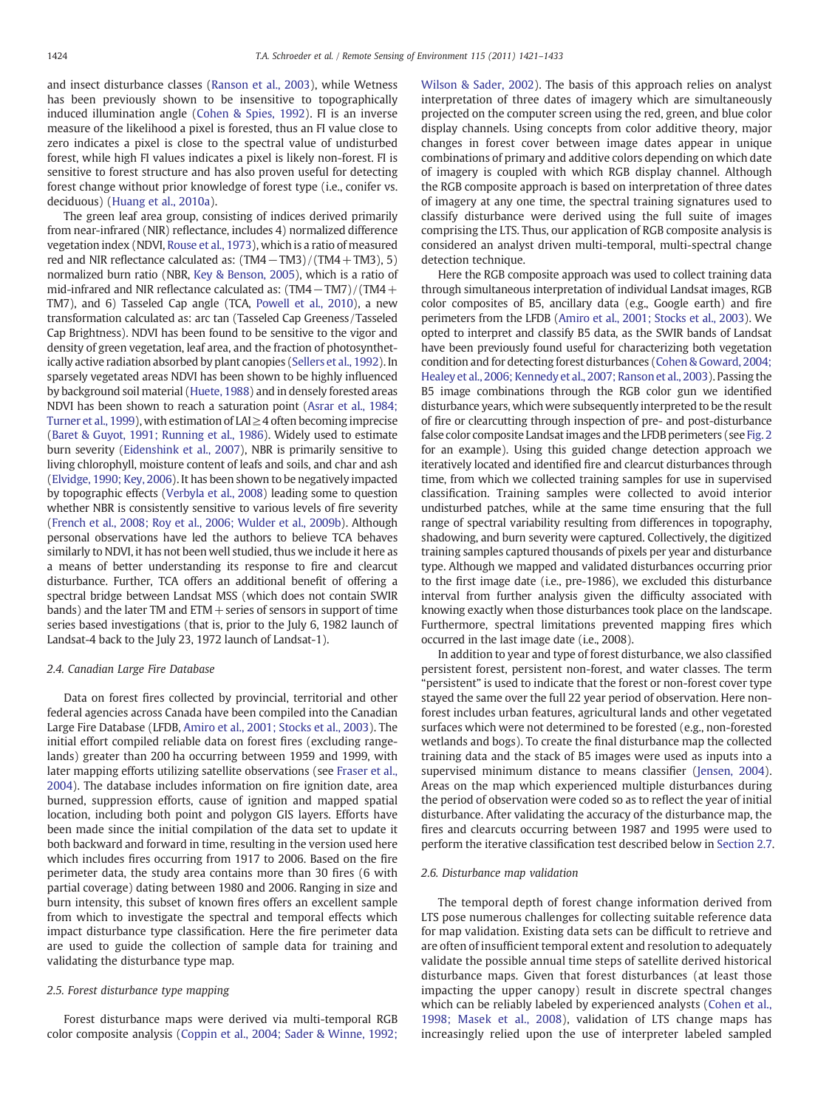and insect disturbance classes [\(Ranson et al., 2003](#page-12-0)), while Wetness has been previously shown to be insensitive to topographically induced illumination angle ([Cohen & Spies, 1992](#page-11-0)). FI is an inverse measure of the likelihood a pixel is forested, thus an FI value close to zero indicates a pixel is close to the spectral value of undisturbed forest, while high FI values indicates a pixel is likely non-forest. FI is sensitive to forest structure and has also proven useful for detecting forest change without prior knowledge of forest type (i.e., conifer vs. deciduous) [\(Huang et al., 2010a](#page-11-0)).

The green leaf area group, consisting of indices derived primarily from near-infrared (NIR) reflectance, includes 4) normalized difference vegetation index (NDVI, [Rouse et al., 1973](#page-12-0)), which is a ratio of measured red and NIR reflectance calculated as: (TM4−TM3) /(TM4+TM3), 5) normalized burn ratio (NBR, [Key & Benson, 2005](#page-11-0)), which is a ratio of mid-infrared and NIR reflectance calculated as: (TM4−TM7) / (TM4+ TM7), and 6) Tasseled Cap angle (TCA, [Powell et al., 2010\)](#page-12-0), a new transformation calculated as: arc tan (Tasseled Cap Greeness /Tasseled Cap Brightness). NDVI has been found to be sensitive to the vigor and density of green vegetation, leaf area, and the fraction of photosynthetically active radiation absorbed by plant canopies [\(Sellers et al., 1992](#page-12-0)). In sparsely vegetated areas NDVI has been shown to be highly influenced by background soil material [\(Huete, 1988\)](#page-11-0) and in densely forested areas NDVI has been shown to reach a saturation point [\(Asrar et al., 1984;](#page-11-0) [Turner et al., 1999](#page-11-0)), with estimation of LAI≥4 often becoming imprecise [\(Baret & Guyot, 1991; Running et al., 1986\)](#page-11-0). Widely used to estimate burn severity ([Eidenshink et al., 2007\)](#page-11-0), NBR is primarily sensitive to living chlorophyll, moisture content of leafs and soils, and char and ash [\(Elvidge, 1990; Key, 2006](#page-11-0)). It has been shown to be negatively impacted by topographic effects [\(Verbyla et al., 2008](#page-12-0)) leading some to question whether NBR is consistently sensitive to various levels of fire severity [\(French et al., 2008; Roy et al., 2006; Wulder et al., 2009b](#page-11-0)). Although personal observations have led the authors to believe TCA behaves similarly to NDVI, it has not been well studied, thus we include it here as a means of better understanding its response to fire and clearcut disturbance. Further, TCA offers an additional benefit of offering a spectral bridge between Landsat MSS (which does not contain SWIR bands) and the later TM and  $ETM +$ series of sensors in support of time series based investigations (that is, prior to the July 6, 1982 launch of Landsat-4 back to the July 23, 1972 launch of Landsat-1).

#### 2.4. Canadian Large Fire Database

Data on forest fires collected by provincial, territorial and other federal agencies across Canada have been compiled into the Canadian Large Fire Database (LFDB, [Amiro et al., 2001; Stocks et al., 2003](#page-11-0)). The initial effort compiled reliable data on forest fires (excluding rangelands) greater than 200 ha occurring between 1959 and 1999, with later mapping efforts utilizing satellite observations (see [Fraser et al.,](#page-11-0) [2004\)](#page-11-0). The database includes information on fire ignition date, area burned, suppression efforts, cause of ignition and mapped spatial location, including both point and polygon GIS layers. Efforts have been made since the initial compilation of the data set to update it both backward and forward in time, resulting in the version used here which includes fires occurring from 1917 to 2006. Based on the fire perimeter data, the study area contains more than 30 fires (6 with partial coverage) dating between 1980 and 2006. Ranging in size and burn intensity, this subset of known fires offers an excellent sample from which to investigate the spectral and temporal effects which impact disturbance type classification. Here the fire perimeter data are used to guide the collection of sample data for training and validating the disturbance type map.

# 2.5. Forest disturbance type mapping

Forest disturbance maps were derived via multi-temporal RGB color composite analysis ([Coppin et al., 2004; Sader & Winne, 1992;](#page-11-0) [Wilson & Sader, 2002](#page-11-0)). The basis of this approach relies on analyst interpretation of three dates of imagery which are simultaneously projected on the computer screen using the red, green, and blue color display channels. Using concepts from color additive theory, major changes in forest cover between image dates appear in unique combinations of primary and additive colors depending on which date of imagery is coupled with which RGB display channel. Although the RGB composite approach is based on interpretation of three dates of imagery at any one time, the spectral training signatures used to classify disturbance were derived using the full suite of images comprising the LTS. Thus, our application of RGB composite analysis is considered an analyst driven multi-temporal, multi-spectral change detection technique.

Here the RGB composite approach was used to collect training data through simultaneous interpretation of individual Landsat images, RGB color composites of B5, ancillary data (e.g., Google earth) and fire perimeters from the LFDB [\(Amiro et al., 2001; Stocks et al., 2003\)](#page-11-0). We opted to interpret and classify B5 data, as the SWIR bands of Landsat have been previously found useful for characterizing both vegetation condition and for detecting forest disturbances ([Cohen & Goward, 2004;](#page-11-0) [Healey et al., 2006; Kennedy et al., 2007; Ranson et al., 2003\)](#page-11-0). Passing the B5 image combinations through the RGB color gun we identified disturbance years, which were subsequently interpreted to be the result of fire or clearcutting through inspection of pre- and post-disturbance false color composite Landsat images and the LFDB perimeters (see [Fig. 2](#page-4-0) for an example). Using this guided change detection approach we iteratively located and identified fire and clearcut disturbances through time, from which we collected training samples for use in supervised classification. Training samples were collected to avoid interior undisturbed patches, while at the same time ensuring that the full range of spectral variability resulting from differences in topography, shadowing, and burn severity were captured. Collectively, the digitized training samples captured thousands of pixels per year and disturbance type. Although we mapped and validated disturbances occurring prior to the first image date (i.e., pre-1986), we excluded this disturbance interval from further analysis given the difficulty associated with knowing exactly when those disturbances took place on the landscape. Furthermore, spectral limitations prevented mapping fires which occurred in the last image date (i.e., 2008).

In addition to year and type of forest disturbance, we also classified persistent forest, persistent non-forest, and water classes. The term "persistent" is used to indicate that the forest or non-forest cover type stayed the same over the full 22 year period of observation. Here nonforest includes urban features, agricultural lands and other vegetated surfaces which were not determined to be forested (e.g., non-forested wetlands and bogs). To create the final disturbance map the collected training data and the stack of B5 images were used as inputs into a supervised minimum distance to means classifier [\(Jensen, 2004](#page-11-0)). Areas on the map which experienced multiple disturbances during the period of observation were coded so as to reflect the year of initial disturbance. After validating the accuracy of the disturbance map, the fires and clearcuts occurring between 1987 and 1995 were used to perform the iterative classification test described below in [Section 2.7.](#page-5-0)

#### 2.6. Disturbance map validation

The temporal depth of forest change information derived from LTS pose numerous challenges for collecting suitable reference data for map validation. Existing data sets can be difficult to retrieve and are often of insufficient temporal extent and resolution to adequately validate the possible annual time steps of satellite derived historical disturbance maps. Given that forest disturbances (at least those impacting the upper canopy) result in discrete spectral changes which can be reliably labeled by experienced analysts [\(Cohen et al.,](#page-11-0) [1998; Masek et al., 2008](#page-11-0)), validation of LTS change maps has increasingly relied upon the use of interpreter labeled sampled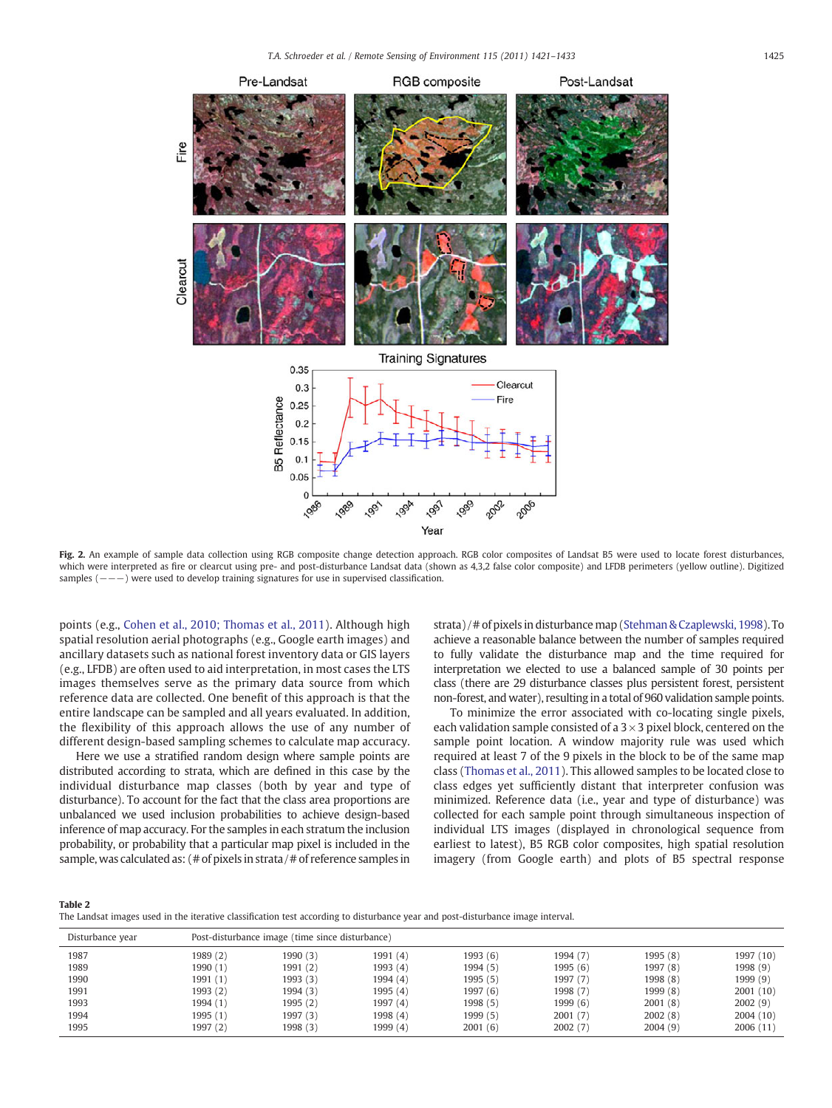<span id="page-4-0"></span>

Fig. 2. An example of sample data collection using RGB composite change detection approach. RGB color composites of Landsat B5 were used to locate forest disturbances, which were interpreted as fire or clearcut using pre- and post-disturbance Landsat data (shown as 4,3,2 false color composite) and LFDB perimeters (yellow outline). Digitized samples (---) were used to develop training signatures for use in supervised classification.

Year

points (e.g., [Cohen et al., 2010; Thomas et al., 2011\)](#page-11-0). Although high spatial resolution aerial photographs (e.g., Google earth images) and ancillary datasets such as national forest inventory data or GIS layers (e.g., LFDB) are often used to aid interpretation, in most cases the LTS images themselves serve as the primary data source from which reference data are collected. One benefit of this approach is that the entire landscape can be sampled and all years evaluated. In addition, the flexibility of this approach allows the use of any number of different design-based sampling schemes to calculate map accuracy.

Here we use a stratified random design where sample points are distributed according to strata, which are defined in this case by the individual disturbance map classes (both by year and type of disturbance). To account for the fact that the class area proportions are unbalanced we used inclusion probabilities to achieve design-based inference of map accuracy. For the samples in each stratum the inclusion probability, or probability that a particular map pixel is included in the sample, was calculated as: (# of pixels in strata /# of reference samples in strata) /# of pixels in disturbance map ([Stehman & Czaplewski, 1998](#page-12-0)). To achieve a reasonable balance between the number of samples required to fully validate the disturbance map and the time required for interpretation we elected to use a balanced sample of 30 points per class (there are 29 disturbance classes plus persistent forest, persistent non-forest, and water), resulting in a total of 960 validation sample points.

To minimize the error associated with co-locating single pixels, each validation sample consisted of a  $3 \times 3$  pixel block, centered on the sample point location. A window majority rule was used which required at least 7 of the 9 pixels in the block to be of the same map class ([Thomas et al., 2011\)](#page-12-0). This allowed samples to be located close to class edges yet sufficiently distant that interpreter confusion was minimized. Reference data (i.e., year and type of disturbance) was collected for each sample point through simultaneous inspection of individual LTS images (displayed in chronological sequence from earliest to latest), B5 RGB color composites, high spatial resolution imagery (from Google earth) and plots of B5 spectral response

Table 2

The Landsat images used in the iterative classification test according to disturbance year and post-disturbance image interval.

| Disturbance year |          | Post-disturbance image (time since disturbance) |          |          |          |          |           |  |
|------------------|----------|-------------------------------------------------|----------|----------|----------|----------|-----------|--|
| 1987             | 1989 (2) | 1990 (3)                                        | 1991 (4) | 1993 (6) | 1994 (7) | 1995 (8) | 1997 (10) |  |
| 1989             | 1990 (1) | 1991 (2)                                        | 1993 (4) | 1994 (5) | 1995(6)  | 1997 (8) | 1998 (9)  |  |
| 1990             | 1991(1)  | 1993(3)                                         | 1994 (4) | 1995(5)  | 1997(7)  | 1998 (8) | 1999 (9)  |  |
| 1991             | 1993(2)  | 1994 (3)                                        | 1995 (4) | 1997(6)  | 1998 (7) | 1999 (8) | 2001(10)  |  |
| 1993             | 1994 (1) | 1995(2)                                         | 1997 (4) | 1998 (5) | 1999 (6) | 2001(8)  | 2002(9)   |  |
| 1994             | 1995 (1) | 1997 (3)                                        | 1998 (4) | 1999(5)  | 2001(7)  | 2002(8)  | 2004(10)  |  |
| 1995             | 1997 (2) | 1998 (3)                                        | 1999 (4) | 2001(6)  | 2002(7)  | 2004(9)  | 2006(11)  |  |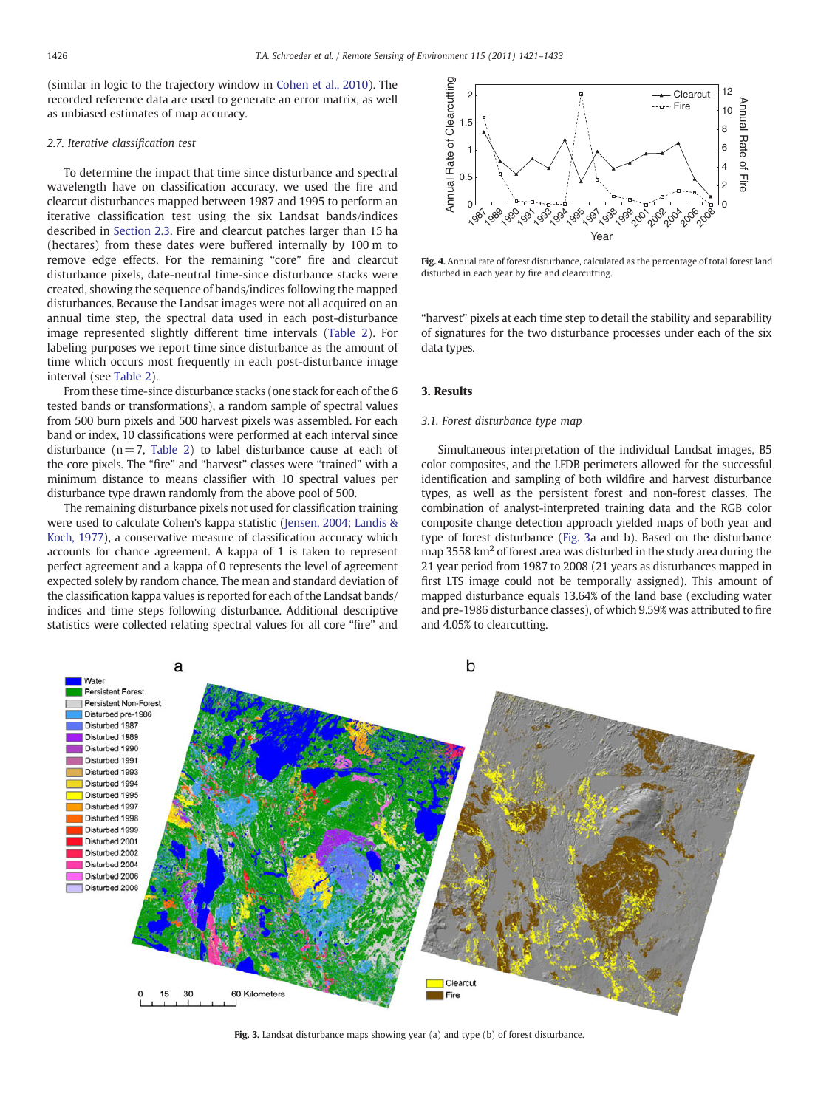<span id="page-5-0"></span>(similar in logic to the trajectory window in [Cohen et al., 2010\)](#page-11-0). The recorded reference data are used to generate an error matrix, as well as unbiased estimates of map accuracy.

# 2.7. Iterative classification test

To determine the impact that time since disturbance and spectral wavelength have on classification accuracy, we used the fire and clearcut disturbances mapped between 1987 and 1995 to perform an iterative classification test using the six Landsat bands/indices described in [Section 2.3.](#page-2-0) Fire and clearcut patches larger than 15 ha (hectares) from these dates were buffered internally by 100 m to remove edge effects. For the remaining "core" fire and clearcut disturbance pixels, date-neutral time-since disturbance stacks were created, showing the sequence of bands/indices following the mapped disturbances. Because the Landsat images were not all acquired on an annual time step, the spectral data used in each post-disturbance image represented slightly different time intervals [\(Table 2\)](#page-4-0). For labeling purposes we report time since disturbance as the amount of time which occurs most frequently in each post-disturbance image interval (see [Table 2](#page-4-0)).

From these time-since disturbance stacks (one stack for each of the 6 tested bands or transformations), a random sample of spectral values from 500 burn pixels and 500 harvest pixels was assembled. For each band or index, 10 classifications were performed at each interval since disturbance  $(n=7,$  [Table 2\)](#page-4-0) to label disturbance cause at each of the core pixels. The "fire" and "harvest" classes were "trained" with a minimum distance to means classifier with 10 spectral values per disturbance type drawn randomly from the above pool of 500.

The remaining disturbance pixels not used for classification training were used to calculate Cohen's kappa statistic ([Jensen, 2004; Landis &](#page-11-0) [Koch, 1977](#page-11-0)), a conservative measure of classification accuracy which accounts for chance agreement. A kappa of 1 is taken to represent perfect agreement and a kappa of 0 represents the level of agreement expected solely by random chance. The mean and standard deviation of the classification kappa values is reported for each of the Landsat bands/ indices and time steps following disturbance. Additional descriptive statistics were collected relating spectral values for all core "fire" and



Fig. 4. Annual rate of forest disturbance, calculated as the percentage of total forest land disturbed in each year by fire and clearcutting.

"harvest" pixels at each time step to detail the stability and separability of signatures for the two disturbance processes under each of the six data types.

# 3. Results

# 3.1. Forest disturbance type map

Simultaneous interpretation of the individual Landsat images, B5 color composites, and the LFDB perimeters allowed for the successful identification and sampling of both wildfire and harvest disturbance types, as well as the persistent forest and non-forest classes. The combination of analyst-interpreted training data and the RGB color composite change detection approach yielded maps of both year and type of forest disturbance (Fig. 3a and b). Based on the disturbance map 3558  $km<sup>2</sup>$  of forest area was disturbed in the study area during the 21 year period from 1987 to 2008 (21 years as disturbances mapped in first LTS image could not be temporally assigned). This amount of mapped disturbance equals 13.64% of the land base (excluding water and pre-1986 disturbance classes), of which 9.59% was attributed to fire and 4.05% to clearcutting.



Fig. 3. Landsat disturbance maps showing year (a) and type (b) of forest disturbance.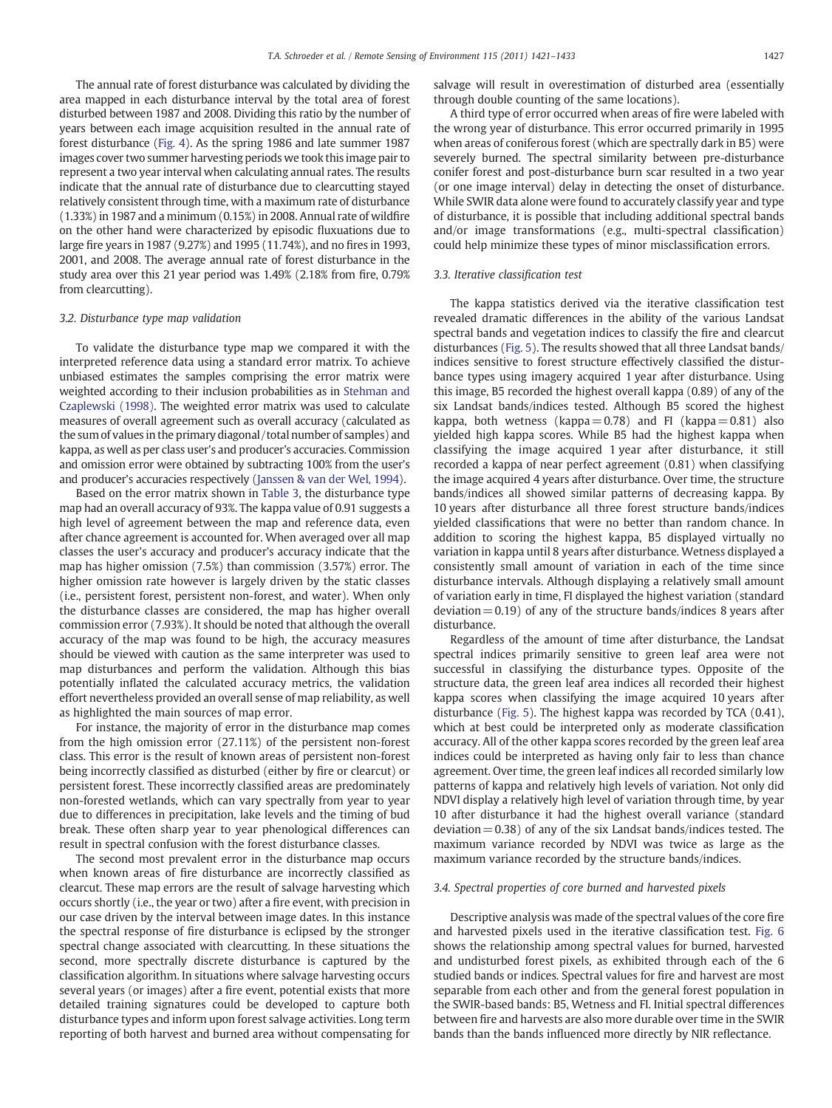The annual rate of forest disturbance was calculated by dividing the area mapped in each disturbance interval by the total area of forest disturbed between 1987 and 2008. Dividing this ratio by the number of years between each image acquisition resulted in the annual rate of forest disturbance [\(Fig. 4\)](#page-5-0). As the spring 1986 and late summer 1987 images cover two summer harvesting periods we took this image pair to represent a two year interval when calculating annual rates. The results indicate that the annual rate of disturbance due to clearcutting stayed relatively consistent through time, with a maximum rate of disturbance (1.33%) in 1987 and a minimum (0.15%) in 2008. Annual rate of wildfire on the other hand were characterized by episodic fluxuations due to large fire years in 1987 (9.27%) and 1995 (11.74%), and no fires in 1993, 2001, and 2008. The average annual rate of forest disturbance in the study area over this 21 year period was 1.49% (2.18% from fire, 0.79% from clearcutting).

#### 3.2. Disturbance type map validation

To validate the disturbance type map we compared it with the interpreted reference data using a standard error matrix. To achieve unbiased estimates the samples comprising the error matrix were weighted according to their inclusion probabilities as in [Stehman and](#page-12-0) [Czaplewski \(1998\)](#page-12-0). The weighted error matrix was used to calculate measures of overall agreement such as overall accuracy (calculated as the sum of values in the primary diagonal / total number of samples) and kappa, as well as per class user's and producer's accuracies. Commission and omission error were obtained by subtracting 100% from the user's and producer's accuracies respectively [\(Janssen & van der Wel, 1994\)](#page-11-0).

Based on the error matrix shown in [Table 3,](#page-7-0) the disturbance type map had an overall accuracy of 93%. The kappa value of 0.91 suggests a high level of agreement between the map and reference data, even after chance agreement is accounted for. When averaged over all map classes the user's accuracy and producer's accuracy indicate that the map has higher omission (7.5%) than commission (3.57%) error. The higher omission rate however is largely driven by the static classes (i.e., persistent forest, persistent non-forest, and water). When only the disturbance classes are considered, the map has higher overall commission error (7.93%). It should be noted that although the overall accuracy of the map was found to be high, the accuracy measures should be viewed with caution as the same interpreter was used to map disturbances and perform the validation. Although this bias potentially inflated the calculated accuracy metrics, the validation effort nevertheless provided an overall sense of map reliability, as well as highlighted the main sources of map error.

For instance, the majority of error in the disturbance map comes from the high omission error (27.11%) of the persistent non-forest class. This error is the result of known areas of persistent non-forest being incorrectly classified as disturbed (either by fire or clearcut) or persistent forest. These incorrectly classified areas are predominately non-forested wetlands, which can vary spectrally from year to year due to differences in precipitation, lake levels and the timing of bud break. These often sharp year to year phenological differences can result in spectral confusion with the forest disturbance classes.

The second most prevalent error in the disturbance map occurs when known areas of fire disturbance are incorrectly classified as clearcut. These map errors are the result of salvage harvesting which occurs shortly (i.e., the year or two) after a fire event, with precision in our case driven by the interval between image dates. In this instance the spectral response of fire disturbance is eclipsed by the stronger spectral change associated with clearcutting. In these situations the second, more spectrally discrete disturbance is captured by the classification algorithm. In situations where salvage harvesting occurs several years (or images) after a fire event, potential exists that more detailed training signatures could be developed to capture both disturbance types and inform upon forest salvage activities. Long term reporting of both harvest and burned area without compensating for salvage will result in overestimation of disturbed area (essentially through double counting of the same locations).

A third type of error occurred when areas of fire were labeled with the wrong year of disturbance. This error occurred primarily in 1995 when areas of coniferous forest (which are spectrally dark in B5) were severely burned. The spectral similarity between pre-disturbance conifer forest and post-disturbance burn scar resulted in a two year (or one image interval) delay in detecting the onset of disturbance. While SWIR data alone were found to accurately classify year and type of disturbance, it is possible that including additional spectral bands and/or image transformations (e.g., multi-spectral classification) could help minimize these types of minor misclassification errors.

# 3.3. Iterative classification test

The kappa statistics derived via the iterative classification test revealed dramatic differences in the ability of the various Landsat spectral bands and vegetation indices to classify the fire and clearcut disturbances ([Fig. 5\)](#page-8-0). The results showed that all three Landsat bands/ indices sensitive to forest structure effectively classified the disturbance types using imagery acquired 1 year after disturbance. Using this image, B5 recorded the highest overall kappa (0.89) of any of the six Landsat bands/indices tested. Although B5 scored the highest kappa, both wetness (kappa $= 0.78$ ) and FI (kappa $= 0.81$ ) also yielded high kappa scores. While B5 had the highest kappa when classifying the image acquired 1 year after disturbance, it still recorded a kappa of near perfect agreement (0.81) when classifying the image acquired 4 years after disturbance. Over time, the structure bands/indices all showed similar patterns of decreasing kappa. By 10 years after disturbance all three forest structure bands/indices yielded classifications that were no better than random chance. In addition to scoring the highest kappa, B5 displayed virtually no variation in kappa until 8 years after disturbance. Wetness displayed a consistently small amount of variation in each of the time since disturbance intervals. Although displaying a relatively small amount of variation early in time, FI displayed the highest variation (standard deviation  $= 0.19$ ) of any of the structure bands/indices 8 years after disturbance.

Regardless of the amount of time after disturbance, the Landsat spectral indices primarily sensitive to green leaf area were not successful in classifying the disturbance types. Opposite of the structure data, the green leaf area indices all recorded their highest kappa scores when classifying the image acquired 10 years after disturbance [\(Fig. 5\)](#page-8-0). The highest kappa was recorded by TCA (0.41), which at best could be interpreted only as moderate classification accuracy. All of the other kappa scores recorded by the green leaf area indices could be interpreted as having only fair to less than chance agreement. Over time, the green leaf indices all recorded similarly low patterns of kappa and relatively high levels of variation. Not only did NDVI display a relatively high level of variation through time, by year 10 after disturbance it had the highest overall variance (standard deviation  $= 0.38$ ) of any of the six Landsat bands/indices tested. The maximum variance recorded by NDVI was twice as large as the maximum variance recorded by the structure bands/indices.

### 3.4. Spectral properties of core burned and harvested pixels

Descriptive analysis was made of the spectral values of the core fire and harvested pixels used in the iterative classification test. [Fig. 6](#page-8-0) shows the relationship among spectral values for burned, harvested and undisturbed forest pixels, as exhibited through each of the 6 studied bands or indices. Spectral values for fire and harvest are most separable from each other and from the general forest population in the SWIR-based bands: B5, Wetness and FI. Initial spectral differences between fire and harvests are also more durable over time in the SWIR bands than the bands influenced more directly by NIR reflectance.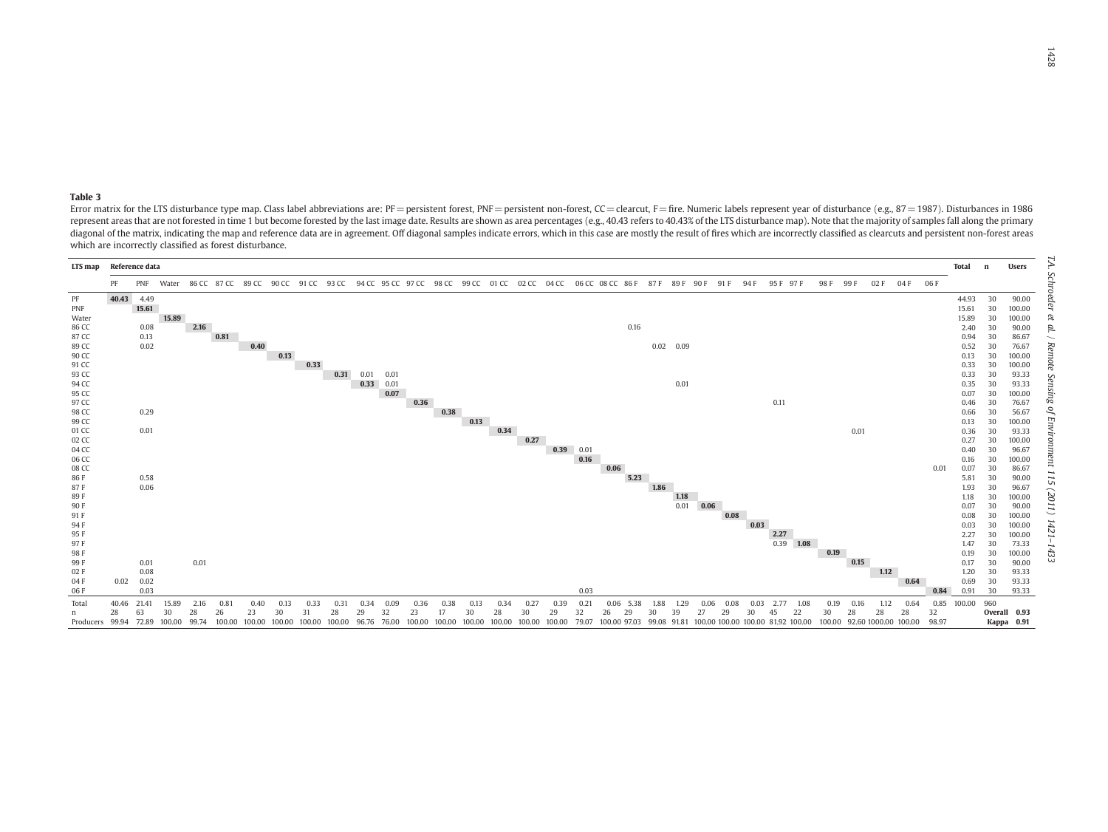<span id="page-7-0"></span>Error matrix for the LTS disturbance type map. Class label abbreviations are: PF= persistent forest, PNF= persistent non-forest, CC= clearcut, F= fire. Numeric labels represent year of disturbance (e.g., 87 = 1987). Distur represent areas that are not forested in time 1 but become forested by the last image date. Results are shown as area percentages (e.g., 40.43 refers to 40.43% of the LTS disturbance map). Note that the majority of samples diagonal of the matrix, indicating the map and reference data are in agreement. Off diagonal samples indicate errors, which in this case are mostly the result of fires which are incorrectly classified as clearcuts and pers which are incorrectly classified as forest disturbance.

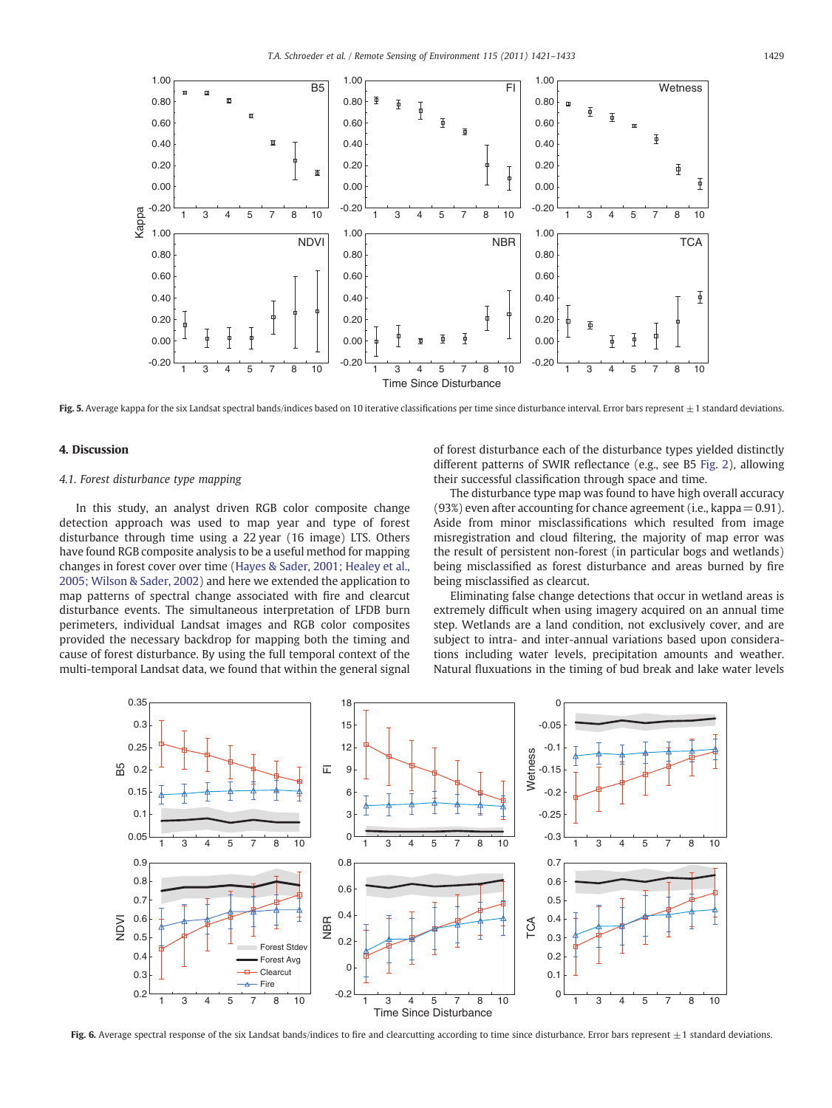<span id="page-8-0"></span>![](_page_8_Figure_1.jpeg)

Fig. 5. Average kappa for the six Landsat spectral bands/indices based on 10 iterative classifications per time since disturbance interval. Error bars represent  $\pm$  1 standard deviations.

# 4. Discussion

# 4.1. Forest disturbance type mapping

In this study, an analyst driven RGB color composite change detection approach was used to map year and type of forest disturbance through time using a 22 year (16 image) LTS. Others have found RGB composite analysis to be a useful method for mapping changes in forest cover over time ([Hayes & Sader, 2001; Healey et al.,](#page-11-0) [2005; Wilson & Sader, 2002](#page-11-0)) and here we extended the application to map patterns of spectral change associated with fire and clearcut disturbance events. The simultaneous interpretation of LFDB burn perimeters, individual Landsat images and RGB color composites provided the necessary backdrop for mapping both the timing and cause of forest disturbance. By using the full temporal context of the multi-temporal Landsat data, we found that within the general signal of forest disturbance each of the disturbance types yielded distinctly different patterns of SWIR reflectance (e.g., see B5 [Fig. 2\)](#page-4-0), allowing their successful classification through space and time.

The disturbance type map was found to have high overall accuracy (93%) even after accounting for chance agreement (i.e., kappa =  $0.91$ ). Aside from minor misclassifications which resulted from image misregistration and cloud filtering, the majority of map error was the result of persistent non-forest (in particular bogs and wetlands) being misclassified as forest disturbance and areas burned by fire being misclassified as clearcut.

Eliminating false change detections that occur in wetland areas is extremely difficult when using imagery acquired on an annual time step. Wetlands are a land condition, not exclusively cover, and are subject to intra- and inter-annual variations based upon considerations including water levels, precipitation amounts and weather. Natural fluxuations in the timing of bud break and lake water levels

![](_page_8_Figure_9.jpeg)

Fig. 6. Average spectral response of the six Landsat bands/indices to fire and clearcutting according to time since disturbance. Error bars represent  $\pm 1$  standard deviations.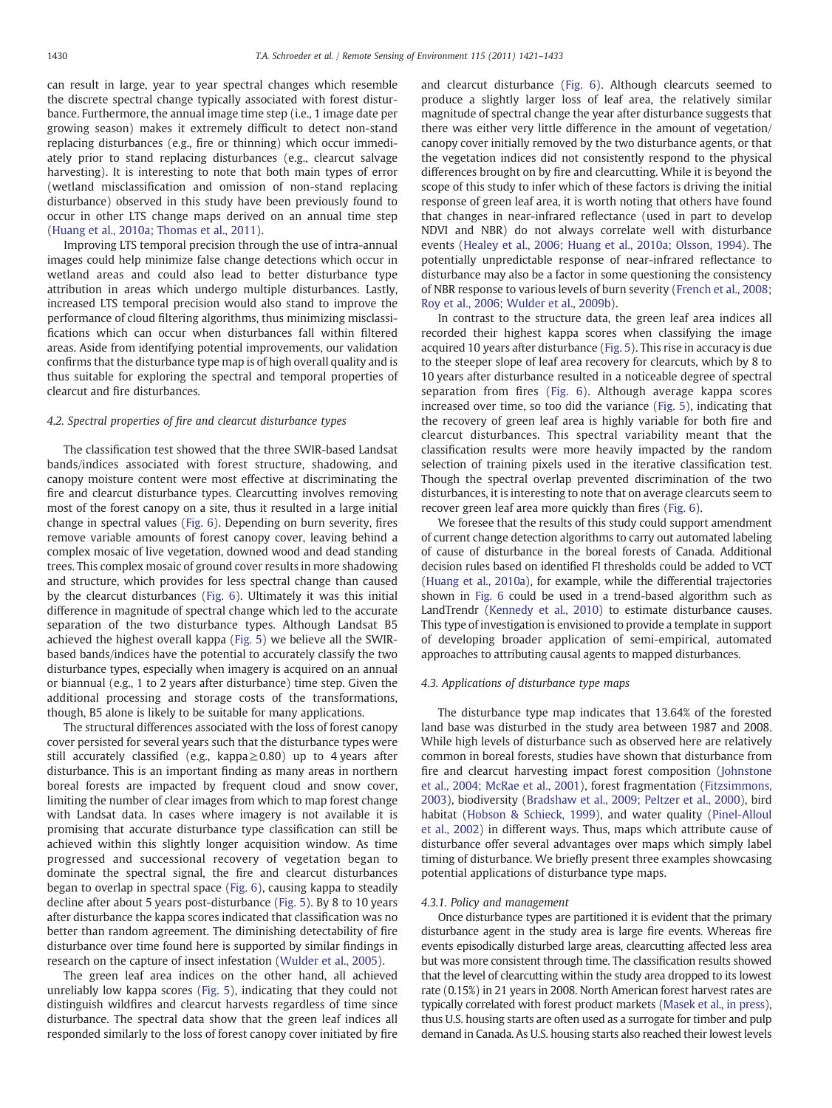can result in large, year to year spectral changes which resemble the discrete spectral change typically associated with forest disturbance. Furthermore, the annual image time step (i.e., 1 image date per growing season) makes it extremely difficult to detect non-stand replacing disturbances (e.g., fire or thinning) which occur immediately prior to stand replacing disturbances (e.g., clearcut salvage harvesting). It is interesting to note that both main types of error (wetland misclassification and omission of non-stand replacing disturbance) observed in this study have been previously found to occur in other LTS change maps derived on an annual time step [\(Huang et al., 2010a; Thomas et al., 2011\)](#page-11-0).

Improving LTS temporal precision through the use of intra-annual images could help minimize false change detections which occur in wetland areas and could also lead to better disturbance type attribution in areas which undergo multiple disturbances. Lastly, increased LTS temporal precision would also stand to improve the performance of cloud filtering algorithms, thus minimizing misclassifications which can occur when disturbances fall within filtered areas. Aside from identifying potential improvements, our validation confirms that the disturbance type map is of high overall quality and is thus suitable for exploring the spectral and temporal properties of clearcut and fire disturbances.

### 4.2. Spectral properties of fire and clearcut disturbance types

The classification test showed that the three SWIR-based Landsat bands/indices associated with forest structure, shadowing, and canopy moisture content were most effective at discriminating the fire and clearcut disturbance types. Clearcutting involves removing most of the forest canopy on a site, thus it resulted in a large initial change in spectral values [\(Fig. 6\)](#page-8-0). Depending on burn severity, fires remove variable amounts of forest canopy cover, leaving behind a complex mosaic of live vegetation, downed wood and dead standing trees. This complex mosaic of ground cover results in more shadowing and structure, which provides for less spectral change than caused by the clearcut disturbances ([Fig. 6\)](#page-8-0). Ultimately it was this initial difference in magnitude of spectral change which led to the accurate separation of the two disturbance types. Although Landsat B5 achieved the highest overall kappa [\(Fig. 5\)](#page-8-0) we believe all the SWIRbased bands/indices have the potential to accurately classify the two disturbance types, especially when imagery is acquired on an annual or biannual (e.g., 1 to 2 years after disturbance) time step. Given the additional processing and storage costs of the transformations, though, B5 alone is likely to be suitable for many applications.

The structural differences associated with the loss of forest canopy cover persisted for several years such that the disturbance types were still accurately classified (e.g., kappa $\geq$ 0.80) up to 4 years after disturbance. This is an important finding as many areas in northern boreal forests are impacted by frequent cloud and snow cover, limiting the number of clear images from which to map forest change with Landsat data. In cases where imagery is not available it is promising that accurate disturbance type classification can still be achieved within this slightly longer acquisition window. As time progressed and successional recovery of vegetation began to dominate the spectral signal, the fire and clearcut disturbances began to overlap in spectral space ([Fig. 6](#page-8-0)), causing kappa to steadily decline after about 5 years post-disturbance ([Fig. 5](#page-8-0)). By 8 to 10 years after disturbance the kappa scores indicated that classification was no better than random agreement. The diminishing detectability of fire disturbance over time found here is supported by similar findings in research on the capture of insect infestation ([Wulder et al., 2005](#page-12-0)).

The green leaf area indices on the other hand, all achieved unreliably low kappa scores ([Fig. 5\)](#page-8-0), indicating that they could not distinguish wildfires and clearcut harvests regardless of time since disturbance. The spectral data show that the green leaf indices all responded similarly to the loss of forest canopy cover initiated by fire and clearcut disturbance ([Fig. 6\)](#page-8-0). Although clearcuts seemed to produce a slightly larger loss of leaf area, the relatively similar magnitude of spectral change the year after disturbance suggests that there was either very little difference in the amount of vegetation/ canopy cover initially removed by the two disturbance agents, or that the vegetation indices did not consistently respond to the physical differences brought on by fire and clearcutting. While it is beyond the scope of this study to infer which of these factors is driving the initial response of green leaf area, it is worth noting that others have found that changes in near-infrared reflectance (used in part to develop NDVI and NBR) do not always correlate well with disturbance events ([Healey et al., 2006; Huang et al., 2010a; Olsson, 1994](#page-11-0)). The potentially unpredictable response of near-infrared reflectance to disturbance may also be a factor in some questioning the consistency of NBR response to various levels of burn severity ([French et al., 2008;](#page-11-0) [Roy et al., 2006; Wulder et al., 2009b](#page-11-0)).

In contrast to the structure data, the green leaf area indices all recorded their highest kappa scores when classifying the image acquired 10 years after disturbance [\(Fig. 5\)](#page-8-0). This rise in accuracy is due to the steeper slope of leaf area recovery for clearcuts, which by 8 to 10 years after disturbance resulted in a noticeable degree of spectral separation from fires ([Fig. 6](#page-8-0)). Although average kappa scores increased over time, so too did the variance [\(Fig. 5\)](#page-8-0), indicating that the recovery of green leaf area is highly variable for both fire and clearcut disturbances. This spectral variability meant that the classification results were more heavily impacted by the random selection of training pixels used in the iterative classification test. Though the spectral overlap prevented discrimination of the two disturbances, it is interesting to note that on average clearcuts seem to recover green leaf area more quickly than fires ([Fig. 6\)](#page-8-0).

We foresee that the results of this study could support amendment of current change detection algorithms to carry out automated labeling of cause of disturbance in the boreal forests of Canada. Additional decision rules based on identified FI thresholds could be added to VCT [\(Huang et al., 2010a](#page-11-0)), for example, while the differential trajectories shown in [Fig. 6](#page-8-0) could be used in a trend-based algorithm such as LandTrendr [\(Kennedy et al., 2010\)](#page-11-0) to estimate disturbance causes. This type of investigation is envisioned to provide a template in support of developing broader application of semi-empirical, automated approaches to attributing causal agents to mapped disturbances.

# 4.3. Applications of disturbance type maps

The disturbance type map indicates that 13.64% of the forested land base was disturbed in the study area between 1987 and 2008. While high levels of disturbance such as observed here are relatively common in boreal forests, studies have shown that disturbance from fire and clearcut harvesting impact forest composition [\(Johnstone](#page-11-0) [et al., 2004; McRae et al., 2001](#page-11-0)), forest fragmentation ([Fitzsimmons,](#page-11-0) [2003\)](#page-11-0), biodiversity [\(Bradshaw et al., 2009; Peltzer et al., 2000\)](#page-11-0), bird habitat ([Hobson & Schieck, 1999](#page-11-0)), and water quality [\(Pinel-Alloul](#page-12-0) [et al., 2002](#page-12-0)) in different ways. Thus, maps which attribute cause of disturbance offer several advantages over maps which simply label timing of disturbance. We briefly present three examples showcasing potential applications of disturbance type maps.

#### 4.3.1. Policy and management

Once disturbance types are partitioned it is evident that the primary disturbance agent in the study area is large fire events. Whereas fire events episodically disturbed large areas, clearcutting affected less area but was more consistent through time. The classification results showed that the level of clearcutting within the study area dropped to its lowest rate (0.15%) in 21 years in 2008. North American forest harvest rates are typically correlated with forest product markets [\(Masek et al., in press\)](#page-12-0), thus U.S. housing starts are often used as a surrogate for timber and pulp demand in Canada. As U.S. housing starts also reached their lowest levels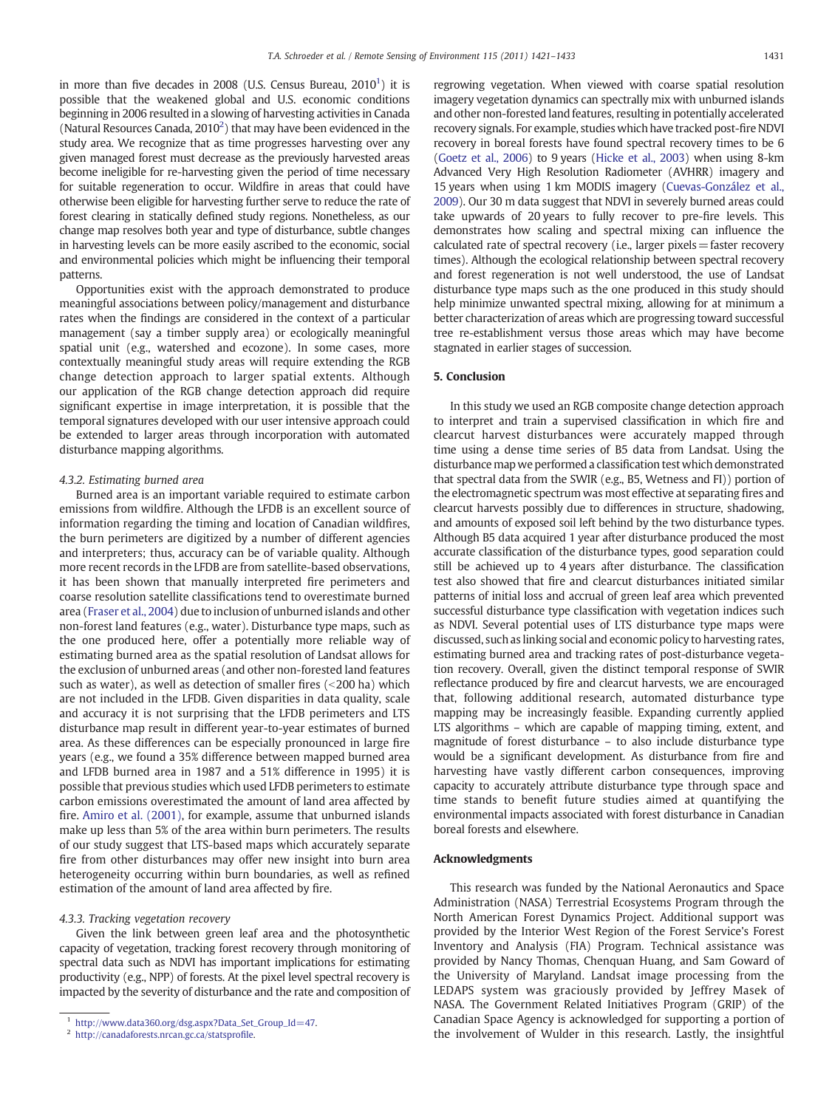in more than five decades in 2008 (U.S. Census Bureau, 2010<sup>1</sup>) it is possible that the weakened global and U.S. economic conditions beginning in 2006 resulted in a slowing of harvesting activities in Canada (Natural Resources Canada, 2010 $^2$ ) that may have been evidenced in the study area. We recognize that as time progresses harvesting over any given managed forest must decrease as the previously harvested areas become ineligible for re-harvesting given the period of time necessary for suitable regeneration to occur. Wildfire in areas that could have otherwise been eligible for harvesting further serve to reduce the rate of forest clearing in statically defined study regions. Nonetheless, as our change map resolves both year and type of disturbance, subtle changes in harvesting levels can be more easily ascribed to the economic, social and environmental policies which might be influencing their temporal patterns.

Opportunities exist with the approach demonstrated to produce meaningful associations between policy/management and disturbance rates when the findings are considered in the context of a particular management (say a timber supply area) or ecologically meaningful spatial unit (e.g., watershed and ecozone). In some cases, more contextually meaningful study areas will require extending the RGB change detection approach to larger spatial extents. Although our application of the RGB change detection approach did require significant expertise in image interpretation, it is possible that the temporal signatures developed with our user intensive approach could be extended to larger areas through incorporation with automated disturbance mapping algorithms.

#### 4.3.2. Estimating burned area

Burned area is an important variable required to estimate carbon emissions from wildfire. Although the LFDB is an excellent source of information regarding the timing and location of Canadian wildfires, the burn perimeters are digitized by a number of different agencies and interpreters; thus, accuracy can be of variable quality. Although more recent records in the LFDB are from satellite-based observations, it has been shown that manually interpreted fire perimeters and coarse resolution satellite classifications tend to overestimate burned area ([Fraser et al., 2004](#page-11-0)) due to inclusion of unburned islands and other non-forest land features (e.g., water). Disturbance type maps, such as the one produced here, offer a potentially more reliable way of estimating burned area as the spatial resolution of Landsat allows for the exclusion of unburned areas (and other non-forested land features such as water), as well as detection of smaller fires  $($  < 200 ha) which are not included in the LFDB. Given disparities in data quality, scale and accuracy it is not surprising that the LFDB perimeters and LTS disturbance map result in different year-to-year estimates of burned area. As these differences can be especially pronounced in large fire years (e.g., we found a 35% difference between mapped burned area and LFDB burned area in 1987 and a 51% difference in 1995) it is possible that previous studies which used LFDB perimeters to estimate carbon emissions overestimated the amount of land area affected by fire. [Amiro et al. \(2001\)](#page-11-0), for example, assume that unburned islands make up less than 5% of the area within burn perimeters. The results of our study suggest that LTS-based maps which accurately separate fire from other disturbances may offer new insight into burn area heterogeneity occurring within burn boundaries, as well as refined estimation of the amount of land area affected by fire.

# 4.3.3. Tracking vegetation recovery

Given the link between green leaf area and the photosynthetic capacity of vegetation, tracking forest recovery through monitoring of spectral data such as NDVI has important implications for estimating productivity (e.g., NPP) of forests. At the pixel level spectral recovery is impacted by the severity of disturbance and the rate and composition of regrowing vegetation. When viewed with coarse spatial resolution imagery vegetation dynamics can spectrally mix with unburned islands and other non-forested land features, resulting in potentially accelerated recovery signals. For example, studies which have tracked post-fire NDVI recovery in boreal forests have found spectral recovery times to be 6 [\(Goetz et al., 2006](#page-11-0)) to 9 years ([Hicke et al., 2003](#page-11-0)) when using 8-km Advanced Very High Resolution Radiometer (AVHRR) imagery and 15 years when using 1 km MODIS imagery [\(Cuevas-González et al.,](#page-11-0) [2009](#page-11-0)). Our 30 m data suggest that NDVI in severely burned areas could take upwards of 20 years to fully recover to pre-fire levels. This demonstrates how scaling and spectral mixing can influence the calculated rate of spectral recovery (i.e., larger pixels= faster recovery times). Although the ecological relationship between spectral recovery and forest regeneration is not well understood, the use of Landsat disturbance type maps such as the one produced in this study should help minimize unwanted spectral mixing, allowing for at minimum a better characterization of areas which are progressing toward successful tree re-establishment versus those areas which may have become stagnated in earlier stages of succession.

#### 5. Conclusion

In this study we used an RGB composite change detection approach to interpret and train a supervised classification in which fire and clearcut harvest disturbances were accurately mapped through time using a dense time series of B5 data from Landsat. Using the disturbance map we performed a classification test which demonstrated that spectral data from the SWIR (e.g., B5, Wetness and FI)) portion of the electromagnetic spectrum was most effective at separating fires and clearcut harvests possibly due to differences in structure, shadowing, and amounts of exposed soil left behind by the two disturbance types. Although B5 data acquired 1 year after disturbance produced the most accurate classification of the disturbance types, good separation could still be achieved up to 4 years after disturbance. The classification test also showed that fire and clearcut disturbances initiated similar patterns of initial loss and accrual of green leaf area which prevented successful disturbance type classification with vegetation indices such as NDVI. Several potential uses of LTS disturbance type maps were discussed, such as linking social and economic policy to harvesting rates, estimating burned area and tracking rates of post-disturbance vegetation recovery. Overall, given the distinct temporal response of SWIR reflectance produced by fire and clearcut harvests, we are encouraged that, following additional research, automated disturbance type mapping may be increasingly feasible. Expanding currently applied LTS algorithms – which are capable of mapping timing, extent, and magnitude of forest disturbance – to also include disturbance type would be a significant development. As disturbance from fire and harvesting have vastly different carbon consequences, improving capacity to accurately attribute disturbance type through space and time stands to benefit future studies aimed at quantifying the environmental impacts associated with forest disturbance in Canadian boreal forests and elsewhere.

#### Acknowledgments

This research was funded by the National Aeronautics and Space Administration (NASA) Terrestrial Ecosystems Program through the North American Forest Dynamics Project. Additional support was provided by the Interior West Region of the Forest Service's Forest Inventory and Analysis (FIA) Program. Technical assistance was provided by Nancy Thomas, Chenquan Huang, and Sam Goward of the University of Maryland. Landsat image processing from the LEDAPS system was graciously provided by Jeffrey Masek of NASA. The Government Related Initiatives Program (GRIP) of the Canadian Space Agency is acknowledged for supporting a portion of the involvement of Wulder in this research. Lastly, the insightful

<sup>1</sup> [http://www.data360.org/dsg.aspx?Data\\_Set\\_Group\\_Id=47.](http://www.data360.org/dsg.aspx?Data_Set_Group_Id=47)

[http://canadaforests.nrcan.gc.ca/statspro](http://canadaforests.nrcan.gc.ca/statsprofile)file.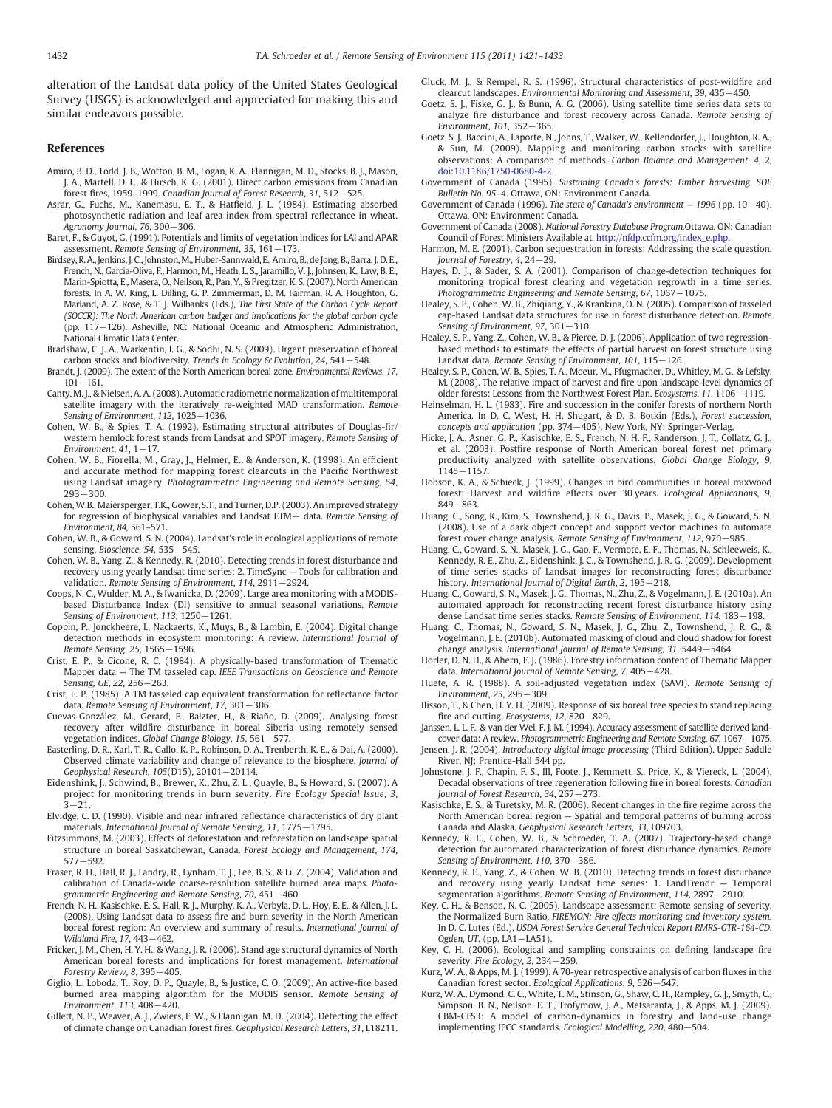<span id="page-11-0"></span>alteration of the Landsat data policy of the United States Geological Survey (USGS) is acknowledged and appreciated for making this and similar endeavors possible.

# References

- Amiro, B. D., Todd, J. B., Wotton, B. M., Logan, K. A., Flannigan, M. D., Stocks, B. J., Mason, J. A., Martell, D. L., & Hirsch, K. G. (2001). Direct carbon emissions from Canadian forest fires, 1959–1999. Canadian Journal of Forest Research, 31, 512−525.
- Asrar, G., Fuchs, M., Kanemasu, E. T., & Hatfield, J. L. (1984). Estimating absorbed photosynthetic radiation and leaf area index from spectral reflectance in wheat. Agronomy Journal, 76, 300−306.
- Baret, F., & Guyot, G. (1991). Potentials and limits of vegetation indices for LAI and APAR assessment. Remote Sensing of Environment, 35, 161−173.
- Birdsey, R. A., Jenkins, J. C., Johnston,M., Huber-Sannwald, E., Amiro, B., de Jong, B., Barra, J. D. E., French, N., Garcia-Oliva, F., Harmon, M., Heath, L. S., Jaramillo, V. J., Johnsen, K., Law, B. E., Marin-Spiotta, E., Masera, O., Neilson, R., Pan, Y., & Pregitzer, K. S. (2007). North American forests. In A. W. King, L. Dilling, G. P. Zimmerman, D. M. Fairman, R. A. Houghton, G. Marland, A. Z. Rose, & T. J. Wilbanks (Eds.), The First State of the Carbon Cycle Report (SOCCR): The North American carbon budget and implications for the global carbon cycle (pp. 117−126). Asheville, NC: National Oceanic and Atmospheric Administration, National Climatic Data Center.
- Bradshaw, C. J. A., Warkentin, I. G., & Sodhi, N. S. (2009). Urgent preservation of boreal carbon stocks and biodiversity. Trends in Ecology & Evolution, 24, 541−548.
- Brandt, J. (2009). The extent of the North American boreal zone. Environmental Reviews, 17, 101−161.
- Canty, M. J., & Nielsen, A. A. (2008). Automatic radiometric normalization of multitemporal satellite imagery with the iteratively re-weighted MAD transformation. Remote Sensing of Environment, 112, 1025−1036.
- Cohen, W. B., & Spies, T. A. (1992). Estimating structural attributes of Douglas-fir/ western hemlock forest stands from Landsat and SPOT imagery. Remote Sensing of Environment, 41, 1−17.
- Cohen, W. B., Fiorella, M., Gray, J., Helmer, E., & Anderson, K. (1998). An efficient and accurate method for mapping forest clearcuts in the Pacific Northwest using Landsat imagery. Photogrammetric Engineering and Remote Sensing, 64, 293−300.
- Cohen,W.B., Maiersperger, T.K., Gower, S.T., and Turner, D.P. (2003). An improved strategy for regression of biophysical variables and Landsat ETM+ data. Remote Sensing of Environment, 84, 561–571.
- Cohen, W. B., & Goward, S. N. (2004). Landsat's role in ecological applications of remote sensing. Bioscience, 54, 535−545.
- Cohen, W. B., Yang, Z., & Kennedy, R. (2010). Detecting trends in forest disturbance and recovery using yearly Landsat time series: 2. TimeSync — Tools for calibration and validation. Remote Sensing of Environment, 114, 2911−2924.
- Coops, N. C., Wulder, M. A., & Iwanicka, D. (2009). Large area monitoring with a MODISbased Disturbance Index (DI) sensitive to annual seasonal variations. Remote Sensing of Environment, 113, 1250−1261.
- Coppin, P., Jonckheere, I., Nackaerts, K., Muys, B., & Lambin, E. (2004). Digital change detection methods in ecosystem monitoring: A review. International Journal of Remote Sensing, 25, 1565−1596.
- Crist, E. P., & Cicone, R. C. (1984). A physically-based transformation of Thematic Mapper data — The TM tasseled cap. IEEE Transactions on Geoscience and Remote Sensing, GE, 22, 256−263.
- Crist, E. P. (1985). A TM tasseled cap equivalent transformation for reflectance factor data. Remote Sensing of Environment, 17, 301−306.
- Cuevas-González, M., Gerard, F., Balzter, H., & Riaño, D. (2009). Analysing forest recovery after wildfire disturbance in boreal Siberia using remotely sensed vegetation indices. Global Change Biology, 15, 561−577.
- Easterling, D. R., Karl, T. R., Gallo, K. P., Robinson, D. A., Trenberth, K. E., & Dai, A. (2000). Observed climate variability and change of relevance to the biosphere. Journal of Geophysical Research, 105(D15), 20101−20114.
- Eidenshink, J., Schwind, B., Brewer, K., Zhu, Z. L., Quayle, B., & Howard, S. (2007). A project for monitoring trends in burn severity. Fire Ecology Special Issue, 3,  $3 - 21$ .
- Elvidge, C. D. (1990). Visible and near infrared reflectance characteristics of dry plant materials. International Journal of Remote Sensing, 11, 1775−1795.
- Fitzsimmons, M. (2003). Effects of deforestation and reforestation on landscape spatial structure in boreal Saskatchewan, Canada. Forest Ecology and Management, 174, 577−592.
- Fraser, R. H., Hall, R. J., Landry, R., Lynham, T. J., Lee, B. S., & Li, Z. (2004). Validation and calibration of Canada-wide coarse-resolution satellite burned area maps. Photogrammetric Engineering and Remote Sensing, 70, 451−460.
- French, N. H., Kasischke, E. S., Hall, R. J., Murphy, K. A., Verbyla, D. L., Hoy, E. E., & Allen, J. L. (2008). Using Landsat data to assess fire and burn severity in the North American boreal forest region: An overview and summary of results. International Journal of Wildland Fire, 17, 443−462.
- Fricker, J. M., Chen, H. Y. H., & Wang, J. R. (2006). Stand age structural dynamics of North American boreal forests and implications for forest management. International Forestry Review, 8, 395−405.
- Giglio, L., Loboda, T., Roy, D. P., Quayle, B., & Justice, C. O. (2009). An active-fire based burned area mapping algorithm for the MODIS sensor. Remote Sensing of Environment, 113, 408−420.
- Gillett, N. P., Weaver, A. J., Zwiers, F. W., & Flannigan, M. D. (2004). Detecting the effect of climate change on Canadian forest fires. Geophysical Research Letters, 31, L18211.
- Gluck, M. J., & Rempel, R. S. (1996). Structural characteristics of post-wildfire and clearcut landscapes. Environmental Monitoring and Assessment, 39, 435−450.
- Goetz, S. J., Fiske, G. J., & Bunn, A. G. (2006). Using satellite time series data sets to analyze fire disturbance and forest recovery across Canada. Remote Sensing of Environment, 101, 352−365.
- Goetz, S. J., Baccini, A., Laporte, N., Johns, T., Walker, W., Kellendorfer, J., Houghton, R. A., & Sun, M. (2009). Mapping and monitoring carbon stocks with satellite observations: A comparison of methods. Carbon Balance and Management, 4, 2, doi[:10.1186/1750-0680-4-2](#page-0-0).
- Government of Canada (1995). Sustaining Canada's forests: Timber harvesting. SOE Bulletin No. 95–4. Ottawa, ON: Environment Canada.
- Government of Canada (1996). The state of Canada's environment 1996 (pp. 10−40). Ottawa, ON: Environment Canada.
- Government of Canada (2008). National Forestry Database Program.Ottawa, ON: Canadian Council of Forest Ministers Available at. [http://nfdp.ccfm.org/index\\_e.php](http://nfdp.ccfm.org/index_e.php).
- Harmon, M. E. (2001). Carbon sequestration in forests: Addressing the scale question. Journal of Forestry, 4, 24−29.
- Hayes, D. J., & Sader, S. A. (2001). Comparison of change-detection techniques for monitoring tropical forest clearing and vegetation regrowth in a time series. Photogrammetric Engineering and Remote Sensing, 67, 1067−1075.
- Healey, S. P., Cohen, W. B., Zhiqiang, Y., & Krankina, O. N. (2005). Comparison of tasseled cap-based Landsat data structures for use in forest disturbance detection. Remote Sensing of Environment, 97, 301−310.
- Healey, S. P., Yang, Z., Cohen, W. B., & Pierce, D. J. (2006). Application of two regressionbased methods to estimate the effects of partial harvest on forest structure using Landsat data. Remote Sensing of Environment, 101, 115−126.
- Healey, S. P., Cohen, W. B., Spies, T. A., Moeur, M., Pfugmacher, D., Whitley, M. G., & Lefsky, M. (2008). The relative impact of harvest and fire upon landscape-level dynamics of older forests: Lessons from the Northwest Forest Plan. Ecosystems, 11, 1106−1119.
- Heinselman, H. L. (1983). Fire and succession in the conifer forests of northern North America. In D. C. West, H. H. Shugart, & D. B. Botkin (Eds.), Forest succession, concepts and application (pp. 374−405). New York, NY: Springer-Verlag.
- Hicke, J. A., Asner, G. P., Kasischke, E. S., French, N. H. F., Randerson, J. T., Collatz, G. J., et al. (2003). Postfire response of North American boreal forest net primary productivity analyzed with satellite observations. Global Change Biology, 9, 1145−1157.
- Hobson, K. A., & Schieck, J. (1999). Changes in bird communities in boreal mixwood forest: Harvest and wildfire effects over 30 years. Ecological Applications, 9, 849−863.
- Huang, C., Song, K., Kim, S., Townshend, J. R. G., Davis, P., Masek, J. G., & Goward, S. N. (2008). Use of a dark object concept and support vector machines to automate forest cover change analysis. Remote Sensing of Environment, 112, 970−985.
- Huang, C., Goward, S. N., Masek, J. G., Gao, F., Vermote, E. F., Thomas, N., Schleeweis, K., Kennedy, R. E., Zhu, Z., Eidenshink, J. C., & Townshend, J. R. G. (2009). Development of time series stacks of Landsat images for reconstructing forest disturbance history. International Journal of Digital Earth, 2, 195−218.
- Huang, C., Goward, S. N., Masek, J. G., Thomas, N., Zhu, Z., & Vogelmann, J. E. (2010a). An automated approach for reconstructing recent forest disturbance history using dense Landsat time series stacks. Remote Sensing of Environment, 114, 183−198.
- Huang, C., Thomas, N., Goward, S. N., Masek, J. G., Zhu, Z., Townshend, J. R. G., & Vogelmann, J. E. (2010b). Automated masking of cloud and cloud shadow for forest change analysis. International Journal of Remote Sensing, 31, 5449−5464.
- Horler, D. N. H., & Ahern, F. J. (1986). Forestry information content of Thematic Mapper data. International Journal of Remote Sensing, 7, 405−428.
- Huete, A. R. (1988). A soil-adjusted vegetation index (SAVI). Remote Sensing of Environment, 25, 295−309.
- Ilisson, T., & Chen, H. Y. H. (2009). Response of six boreal tree species to stand replacing fire and cutting. Ecosystems, 12, 820−829.
- Janssen, L. L. F., & van der Wel, F. J. M. (1994). Accuracy assessment of satellite derived landcover data: A review. Photogrammetric Engineering and Remote Sensing, 67, 1067−1075.
- Jensen, J. R. (2004). Introductory digital image processing (Third Edition). Upper Saddle River, NJ: Prentice-Hall 544 pp.
- Johnstone, J. F., Chapin, F. S., III, Foote, J., Kemmett, S., Price, K., & Viereck, L. (2004). Decadal observations of tree regeneration following fire in boreal forests. Canadian Journal of Forest Research, 34, 267−273.
- Kasischke, E. S., & Turetsky, M. R. (2006). Recent changes in the fire regime across the North American boreal region — Spatial and temporal patterns of burning across Canada and Alaska. Geophysical Research Letters, 33, L09703.
- Kennedy, R. E., Cohen, W. B., & Schroeder, T. A. (2007). Trajectory-based change detection for automated characterization of forest disturbance dynamics. Remote Sensing of Environment, 110, 370−386.
- Kennedy, R. E., Yang, Z., & Cohen, W. B. (2010). Detecting trends in forest disturbance and recovery using yearly Landsat time series: 1. LandTrendr — Temporal segmentation algorithms. Remote Sensing of Environment, 114, 2897−2910.
- Key, C. H., & Benson, N. C. (2005). Landscape assessment: Remote sensing of severity, the Normalized Burn Ratio. FIREMON: Fire effects monitoring and inventory system. In D. C. Lutes (Ed.), USDA Forest Service General Technical Report RMRS-GTR-164-CD. Ogden, UT. (pp. LA1−LA51).
- Key, C. H. (2006). Ecological and sampling constraints on defining landscape fire severity. Fire Ecology, 2, 234−259.
- Kurz, W. A., & Apps, M. J. (1999). A 70-year retrospective analysis of carbon fluxes in the Canadian forest sector. Ecological Applications, 9, 526−547.
- Kurz, W. A., Dymond, C. C., White, T. M., Stinson, G., Shaw, C. H., Rampley, G. J., Smyth, C., Simpson, B. N., Neilson, E. T., Trofymow, J. A., Metsaranta, J., & Apps, M. J. (2009). CBM-CFS3: A model of carbon-dynamics in forestry and land-use change implementing IPCC standards. Ecological Modelling, 220, 480−504.